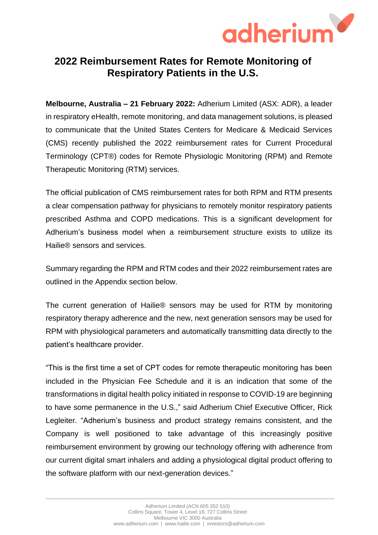

# **2022 Reimbursement Rates for Remote Monitoring of Respiratory Patients in the U.S.**

**Melbourne, Australia – 21 February 2022:** Adherium Limited (ASX: ADR), a leader in respiratory eHealth, remote monitoring, and data management solutions, is pleased to communicate that the United States Centers for Medicare & Medicaid Services (CMS) recently published the 2022 reimbursement rates for Current Procedural Terminology (CPT®) codes for Remote Physiologic Monitoring (RPM) and Remote Therapeutic Monitoring (RTM) services.

The official publication of CMS reimbursement rates for both RPM and RTM presents a clear compensation pathway for physicians to remotely monitor respiratory patients prescribed Asthma and COPD medications. This is a significant development for Adherium's business model when a reimbursement structure exists to utilize its Hailie® sensors and services.

Summary regarding the RPM and RTM codes and their 2022 reimbursement rates are outlined in the Appendix section below.

The current generation of Hailie® sensors may be used for RTM by monitoring respiratory therapy adherence and the new, next generation sensors may be used for RPM with physiological parameters and automatically transmitting data directly to the patient's healthcare provider.

"This is the first time a set of CPT codes for remote therapeutic monitoring has been included in the Physician Fee Schedule and it is an indication that some of the transformations in digital health policy initiated in response to COVID-19 are beginning to have some permanence in the U.S.," said Adherium Chief Executive Officer, Rick Legleiter. "Adherium's business and product strategy remains consistent, and the Company is well positioned to take advantage of this increasingly positive reimbursement environment by growing our technology offering with adherence from our current digital smart inhalers and adding a physiological digital product offering to the software platform with our next-generation devices."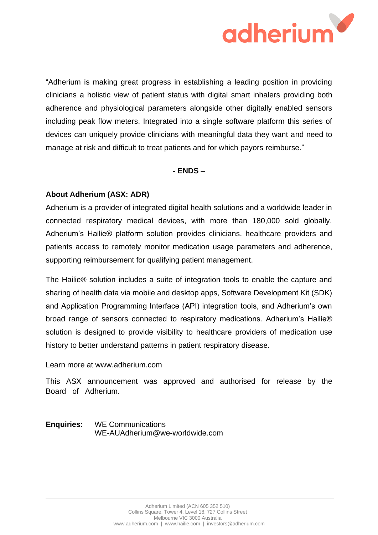

"Adherium is making great progress in establishing a leading position in providing clinicians a holistic view of patient status with digital smart inhalers providing both adherence and physiological parameters alongside other digitally enabled sensors including peak flow meters. Integrated into a single software platform this series of devices can uniquely provide clinicians with meaningful data they want and need to manage at risk and difficult to treat patients and for which payors reimburse."

## **- ENDS –**

## **About Adherium (ASX: ADR)**

Adherium is a provider of integrated digital health solutions and a worldwide leader in connected respiratory medical devices, with more than 180,000 sold globally. Adherium's Hailie® platform solution provides clinicians, healthcare providers and patients access to remotely monitor medication usage parameters and adherence, supporting reimbursement for qualifying patient management.

The Hailie® solution includes a suite of integration tools to enable the capture and sharing of health data via mobile and desktop apps, Software Development Kit (SDK) and Application Programming Interface (API) integration tools, and Adherium's own broad range of sensors connected to respiratory medications. Adherium's Hailie® solution is designed to provide visibility to healthcare providers of medication use history to better understand patterns in patient respiratory disease.

#### Learn more at [www.adherium.com](http://about:blank)

This ASX announcement was approved and authorised for release by the Board of Adherium.

**Enquiries:** WE Communications WE-AUAdherium@we-worldwide.com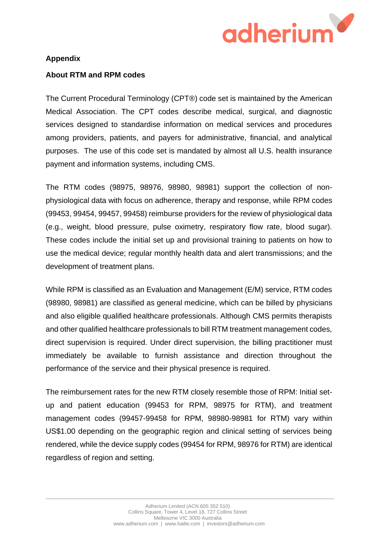

## **Appendix**

## **About RTM and RPM codes**

The Current Procedural Terminology (CPT®) code set is maintained by the American Medical Association. The CPT codes describe medical, surgical, and diagnostic services designed to standardise information on medical services and procedures among providers, patients, and payers for administrative, financial, and analytical purposes. The use of this code set is mandated by almost all U.S. health insurance payment and information systems, including CMS.

The RTM codes (98975, 98976, 98980, 98981) support the collection of nonphysiological data with focus on adherence, therapy and response, while RPM codes (99453, 99454, 99457, 99458) reimburse providers for the review of physiological data (e.g., weight, blood pressure, pulse oximetry, respiratory flow rate, blood sugar). These codes include the initial set up and provisional training to patients on how to use the medical device; regular monthly health data and alert transmissions; and the development of treatment plans.

While RPM is classified as an Evaluation and Management (E/M) service, RTM codes (98980, 98981) are classified as general medicine, which can be billed by physicians and also eligible qualified healthcare professionals. Although CMS permits therapists and other qualified healthcare professionals to bill RTM treatment management codes, direct supervision is required. Under direct supervision, the billing practitioner must immediately be available to furnish assistance and direction throughout the performance of the service and their physical presence is required.

The reimbursement rates for the new RTM closely resemble those of RPM: Initial setup and patient education (99453 for RPM, 98975 for RTM), and treatment management codes (99457-99458 for RPM, 98980-98981 for RTM) vary within US\$1.00 depending on the geographic region and clinical setting of services being rendered, while the device supply codes (99454 for RPM, 98976 for RTM) are identical regardless of region and setting.